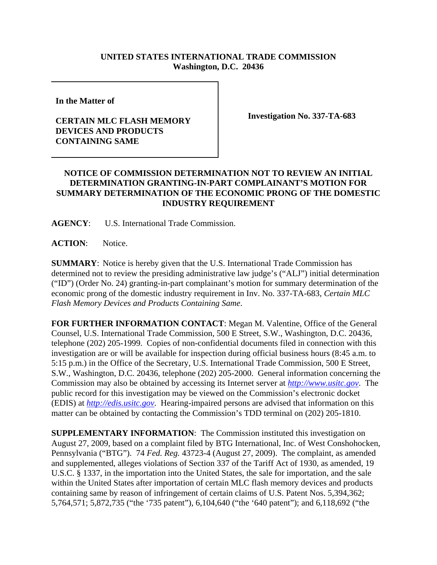## **UNITED STATES INTERNATIONAL TRADE COMMISSION Washington, D.C. 20436**

**In the Matter of** 

## **CERTAIN MLC FLASH MEMORY DEVICES AND PRODUCTS CONTAINING SAME**

**Investigation No. 337-TA-683**

## **NOTICE OF COMMISSION DETERMINATION NOT TO REVIEW AN INITIAL DETERMINATION GRANTING-IN-PART COMPLAINANT'S MOTION FOR SUMMARY DETERMINATION OF THE ECONOMIC PRONG OF THE DOMESTIC INDUSTRY REQUIREMENT**

**AGENCY**: U.S. International Trade Commission.

**ACTION**: Notice.

**SUMMARY**: Notice is hereby given that the U.S. International Trade Commission has determined not to review the presiding administrative law judge's ("ALJ") initial determination ("ID") (Order No. 24) granting-in-part complainant's motion for summary determination of the economic prong of the domestic industry requirement in Inv. No. 337-TA-683, *Certain MLC Flash Memory Devices and Products Containing Same*.

**FOR FURTHER INFORMATION CONTACT**: Megan M. Valentine, Office of the General Counsel, U.S. International Trade Commission, 500 E Street, S.W., Washington, D.C. 20436, telephone (202) 205-1999. Copies of non-confidential documents filed in connection with this investigation are or will be available for inspection during official business hours (8:45 a.m. to 5:15 p.m.) in the Office of the Secretary, U.S. International Trade Commission, 500 E Street, S.W., Washington, D.C. 20436, telephone (202) 205-2000. General information concerning the Commission may also be obtained by accessing its Internet server at *http://www.usitc.gov*. The public record for this investigation may be viewed on the Commission's electronic docket (EDIS) at *http://edis.usitc.gov*. Hearing-impaired persons are advised that information on this matter can be obtained by contacting the Commission's TDD terminal on (202) 205-1810.

**SUPPLEMENTARY INFORMATION:** The Commission instituted this investigation on August 27, 2009, based on a complaint filed by BTG International, Inc. of West Conshohocken, Pennsylvania ("BTG"). 74 *Fed. Reg.* 43723-4 (August 27, 2009). The complaint, as amended and supplemented, alleges violations of Section 337 of the Tariff Act of 1930, as amended, 19 U.S.C. § 1337, in the importation into the United States, the sale for importation, and the sale within the United States after importation of certain MLC flash memory devices and products containing same by reason of infringement of certain claims of U.S. Patent Nos. 5,394,362; 5,764,571; 5,872,735 ("the '735 patent"), 6,104,640 ("the '640 patent"); and 6,118,692 ("the